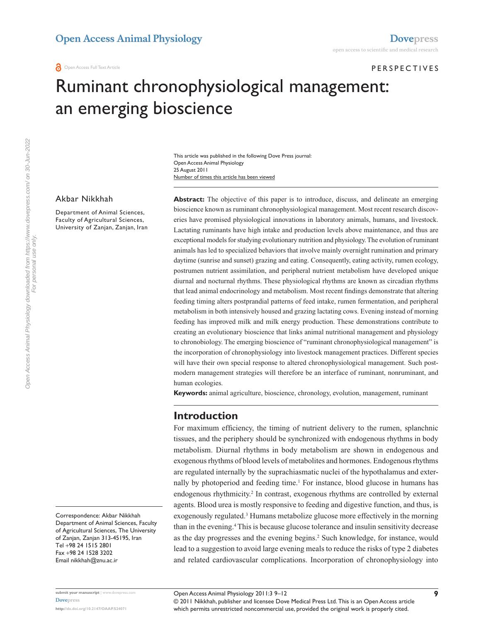#### **PERS PECTIVES**

# Ruminant chronophysiological management: an emerging bioscience

Number of times this article has been viewed This article was published in the following Dove Press journal: Open Access Animal Physiology 25 August 2011

#### Akbar Nikkhah

Department of Animal Sciences, Faculty of Agricultural Sciences, University of Zanjan, Zanjan, Iran **Abstract:** The objective of this paper is to introduce, discuss, and delineate an emerging bioscience known as ruminant chronophysiological management. Most recent research discoveries have promised physiological innovations in laboratory animals, humans, and livestock. Lactating ruminants have high intake and production levels above maintenance, and thus are exceptional models for studying evolutionary nutrition and physiology. The evolution of ruminant animals has led to specialized behaviors that involve mainly overnight rumination and primary daytime (sunrise and sunset) grazing and eating. Consequently, eating activity, rumen ecology, postrumen nutrient assimilation, and peripheral nutrient metabolism have developed unique diurnal and nocturnal rhythms. These physiological rhythms are known as circadian rhythms that lead animal endocrinology and metabolism. Most recent findings demonstrate that altering feeding timing alters postprandial patterns of feed intake, rumen fermentation, and peripheral metabolism in both intensively housed and grazing lactating cows. Evening instead of morning feeding has improved milk and milk energy production. These demonstrations contribute to creating an evolutionary bioscience that links animal nutritional management and physiology to chronobiology. The emerging bioscience of "ruminant chronophysiological management" is the incorporation of chronophysiology into livestock management practices. Different species will have their own special response to altered chronophysiological management. Such postmodern management strategies will therefore be an interface of ruminant, nonruminant, and human ecologies.

**Keywords:** animal agriculture, bioscience, chronology, evolution, management, ruminant

#### **Introduction**

For maximum efficiency, the timing of nutrient delivery to the rumen, splanchnic tissues, and the periphery should be synchronized with endogenous rhythms in body metabolism. Diurnal rhythms in body metabolism are shown in endogenous and exogenous rhythms of blood levels of metabolites and hormones. Endogenous rhythms are regulated internally by the suprachiasmatic nuclei of the hypothalamus and externally by photoperiod and feeding time.<sup>1</sup> For instance, blood glucose in humans has endogenous rhythmicity.<sup>2</sup> In contrast, exogenous rhythms are controlled by external agents. Blood urea is mostly responsive to feeding and digestive function, and thus, is exogenously regulated.<sup>3</sup> Humans metabolize glucose more effectively in the morning than in the evening.<sup>4</sup> This is because glucose tolerance and insulin sensitivity decrease as the day progresses and the evening begins.<sup>2</sup> Such knowledge, for instance, would lead to a suggestion to avoid large evening meals to reduce the risks of type 2 diabetes and related cardiovascular complications. Incorporation of chronophysiology into

Correspondence: Akbar Nikkhah Department of Animal Sciences, Faculty of Agricultural Sciences, The University of Zanjan, Zanjan 313-45195, Iran Tel +98 24 1515 2801 Fax +98 24 1528 3202 Email [nikkhah@znu.ac.ir](mailto:nikkhah@znu.ac.ir)

© 2011 Nikkhah, publisher and licensee Dove Medical Press Ltd. This is an Open Access article which permits unrestricted noncommercial use, provided the original work is properly cited.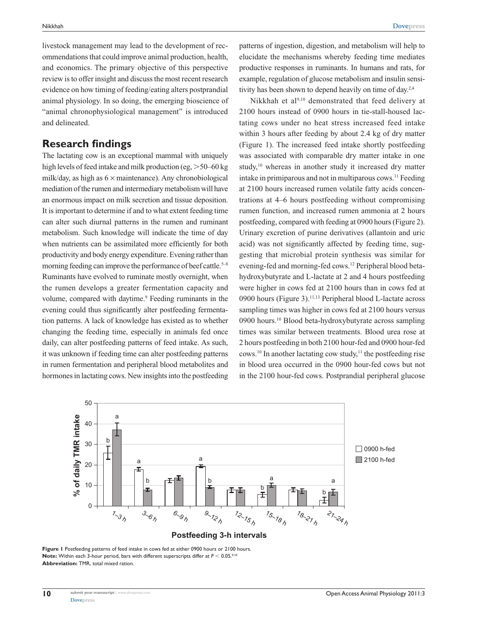livestock management may lead to the development of recommendations that could improve animal production, health, and economics. The primary objective of this perspective review is to offer insight and discuss the most recent research evidence on how timing of feeding/eating alters postprandial animal physiology. In so doing, the emerging bioscience of "animal chronophysiological management" is introduced and delineated.

### **Research findings**

The lactating cow is an exceptional mammal with uniquely high levels of feed intake and milk production (eg,  $> 50-60$  kg milk/day, as high as  $6 \times$  maintenance). Any chronobiological mediation of the rumen and intermediary metabolism will have an enormous impact on milk secretion and tissue deposition. It is important to determine if and to what extent feeding time can alter such diurnal patterns in the rumen and ruminant metabolism. Such knowledge will indicate the time of day when nutrients can be assimilated more efficiently for both productivity and body energy expenditure. Evening rather than morning feeding can improve the performance of beef cattle.<sup>5–8</sup> Ruminants have evolved to ruminate mostly overnight, when the rumen develops a greater fermentation capacity and volume, compared with daytime.<sup>9</sup> Feeding ruminants in the evening could thus significantly alter postfeeding fermentation patterns. A lack of knowledge has existed as to whether changing the feeding time, especially in animals fed once daily, can alter postfeeding patterns of feed intake. As such, it was unknown if feeding time can alter postfeeding patterns in rumen fermentation and peripheral blood metabolites and hormones in lactating cows. New insights into the postfeeding

patterns of ingestion, digestion, and metabolism will help to elucidate the mechanisms whereby feeding time mediates productive responses in ruminants. In humans and rats, for example, regulation of glucose metabolism and insulin sensitivity has been shown to depend heavily on time of day.<sup>2,4</sup>

Nikkhah et al<sup>9,10</sup> demonstrated that feed delivery at 2100 hours instead of 0900 hours in tie-stall-housed lactating cows under no heat stress increased feed intake within 3 hours after feeding by about 2.4 kg of dry matter (Figure 1). The increased feed intake shortly postfeeding was associated with comparable dry matter intake in one study,<sup>10</sup> whereas in another study it increased dry matter intake in primiparous and not in multiparous cows.11 Feeding at 2100 hours increased rumen volatile fatty acids concentrations at 4–6 hours postfeeding without compromising rumen function, and increased rumen ammonia at 2 hours postfeeding, compared with feeding at 0900 hours (Figure 2). Urinary excretion of purine derivatives (allantoin and uric acid) was not significantly affected by feeding time, suggesting that microbial protein synthesis was similar for evening-fed and morning-fed cows.12 Peripheral blood betahydroxybutyrate and L-lactate at 2 and 4 hours postfeeding were higher in cows fed at 2100 hours than in cows fed at 0900 hours (Figure 3).<sup>11,13</sup> Peripheral blood L-lactate across sampling times was higher in cows fed at 2100 hours versus 0900 hours.10 Blood beta-hydroxybutyrate across sampling times was similar between treatments. Blood urea rose at 2 hours postfeeding in both 2100 hour-fed and 0900 hour-fed cows.<sup>10</sup> In another lactating cow study,<sup>11</sup> the postfeeding rise in blood urea occurred in the 0900 hour-fed cows but not in the 2100 hour-fed cows. Postprandial peripheral glucose



Figure I Postfeeding patterns of feed intake in cows fed at either 0900 hours or 2100 hours. **Note:** Within each 3-hour period, bars with different superscripts differ at  $P < 0.05$ .<sup>9,11</sup> **Abbreviation:** TMR, total mixed ration.

**10**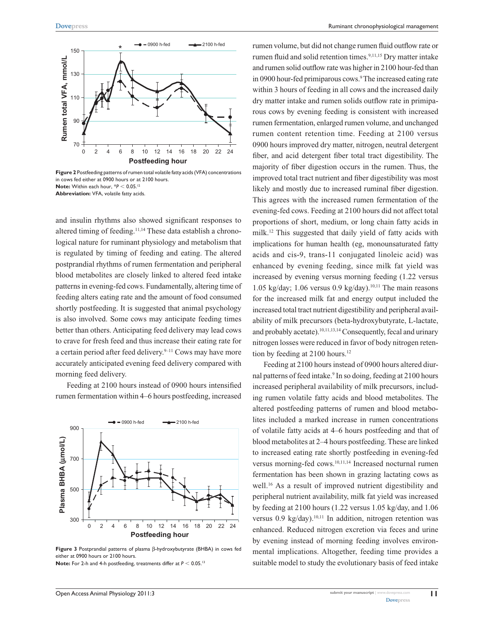

**Figure 2** Postfeeding patterns of rumen total volatile fatty acids (VFA) concentrations in cows fed either at 0900 hours or at 2100 hours. **Note:** Within each hour, \* $P$  < 0.05.<sup>12</sup> **Abbreviation:** VFA, volatile fatty acids.

and insulin rhythms also showed significant responses to altered timing of feeding.<sup>11,14</sup> These data establish a chronological nature for ruminant physiology and metabolism that is regulated by timing of feeding and eating. The altered postprandial rhythms of rumen fermentation and peripheral blood metabolites are closely linked to altered feed intake patterns in evening-fed cows. Fundamentally, altering time of feeding alters eating rate and the amount of food consumed shortly postfeeding. It is suggested that animal psychology is also involved. Some cows may anticipate feeding times better than others. Anticipating feed delivery may lead cows to crave for fresh feed and thus increase their eating rate for a certain period after feed delivery.<sup>9-11</sup> Cows may have more accurately anticipated evening feed delivery compared with morning feed delivery.

Feeding at 2100 hours instead of 0900 hours intensified rumen fermentation within 4–6 hours postfeeding, increased



**Figure 3** Postprandial patterns of plasma β-hydroxybutyrate (BHBA) in cows fed either at 0900 hours or 2100 hours. **Note:** For 2-h and 4-h postfeeding, treatments differ at  $P < 0.05$ .<sup>13</sup>

rumen volume, but did not change rumen fluid outflow rate or rumen fluid and solid retention times.<sup>9,11,15</sup> Dry matter intake and rumen solid outflow rate was higher in 2100 hour-fed than in 0900 hour-fed primiparous cows.<sup>9</sup> The increased eating rate within 3 hours of feeding in all cows and the increased daily dry matter intake and rumen solids outflow rate in primiparous cows by evening feeding is consistent with increased rumen fermentation, enlarged rumen volume, and unchanged rumen content retention time. Feeding at 2100 versus 0900 hours improved dry matter, nitrogen, neutral detergent fiber, and acid detergent fiber total tract digestibility. The majority of fiber digestion occurs in the rumen. Thus, the improved total tract nutrient and fiber digestibility was most likely and mostly due to increased ruminal fiber digestion. This agrees with the increased rumen fermentation of the evening-fed cows. Feeding at 2100 hours did not affect total proportions of short, medium, or long chain fatty acids in milk.12 This suggested that daily yield of fatty acids with implications for human health (eg, monounsaturated fatty acids and cis-9, trans-11 conjugated linoleic acid) was enhanced by evening feeding, since milk fat yield was increased by evening versus morning feeding (1.22 versus 1.05 kg/day; 1.06 versus 0.9 kg/day).<sup>10,11</sup> The main reasons for the increased milk fat and energy output included the increased total tract nutrient digestibility and peripheral availability of milk precursors (beta-hydroxybutyrate, L-lactate, and probably acetate).<sup>10,11,13,14</sup> Consequently, fecal and urinary nitrogen losses were reduced in favor of body nitrogen retention by feeding at 2100 hours.<sup>12</sup>

Feeding at 2100 hours instead of 0900 hours altered diurnal patterns of feed intake.<sup>9</sup> In so doing, feeding at 2100 hours increased peripheral availability of milk precursors, including rumen volatile fatty acids and blood metabolites. The altered postfeeding patterns of rumen and blood metabolites included a marked increase in rumen concentrations of volatile fatty acids at 4–6 hours postfeeding and that of blood metabolites at 2–4 hours postfeeding. These are linked to increased eating rate shortly postfeeding in evening-fed versus morning-fed cows.10,11,14 Increased nocturnal rumen fermentation has been shown in grazing lactating cows as well.<sup>16</sup> As a result of improved nutrient digestibility and peripheral nutrient availability, milk fat yield was increased by feeding at 2100 hours (1.22 versus 1.05 kg/day, and 1.06 versus 0.9 kg/day).<sup>10,11</sup> In addition, nitrogen retention was enhanced. Reduced nitrogen excretion via feces and urine by evening instead of morning feeding involves environmental implications. Altogether, feeding time provides a suitable model to study the evolutionary basis of feed intake